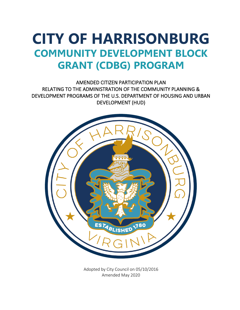# **CITY OF HARRISONBURG COMMUNITY DEVELOPMENT BLOCK GRANT (CDBG) PROGRAM**

AMENDED CITIZEN PARTICIPATION PLAN RELATING TO THE ADMINISTRATION OF THE COMMUNITY PLANNING & DEVELOPMENT PROGRAMS OF THE U.S. DEPARTMENT OF HOUSING AND URBAN DEVELOPMENT (HUD)



Adopted by City Council on 05/10/2016 Amended May 2020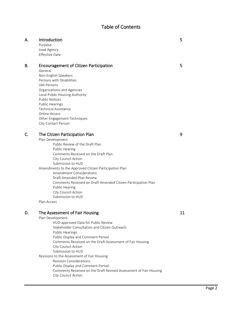# Table of Contents

| А. | Introduction |  |
|----|--------------|--|
|----|--------------|--|

Purpose Lead Agency Effective Date

#### B. Encouragement of Citizen Participation 5

General Non-English Speakers Persons with Disabilities LMI Persons Organizations and Agencies Local Public Housing Authority Public Notices Public Hearings Technical Assistance Online Access Other Engagement Techniques City Contact Person

#### C. The Citizen Participation Plan 6 and 100 set of the Citizen Participation Plan

Plan Development Public Review of the Draft Plan Public Hearing Comments Received on the Draft Plan City Council Action Submission to HUD Amendments to the Approved Citizen Participation Plan Amendment Considerations Draft Amended Plan Review Comments Received on Draft Amended Citizen Participation Plan Public Hearing City Council Action Submission to HUD Plan Access

D. The Assessment of Fair Housing 11 and 11 and 11 and 11 and 11 and 11 and 11 and 11 and 11 and 11 and 11 and 11 and 11 and 11 and 11 and 11 and 11 and 11 and 11 and 11 and 11 and 12 and 12 and 12 and 12 and 12 and 12 and Plan Development HUD-approved Data for Public Review Stakeholder Consultation and Citizen Outreach Public Hearings Public Display and Comment Period Comments Received on the Draft Assessment of Fair Housing City Council Action Submission to HUD Revisions to the Assessment of Fair Housing Revision Considerations Public Display and Comment Period Comments Received on the Draft Revised Assessment of Fair Housing City Council Action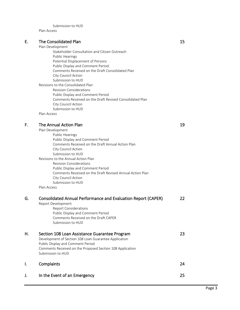Submission to HUD

Plan Access

#### E. The Consolidated Plan 15

Plan Development Stakeholder Consultation and Citizen Outreach Public Hearings Potential Displacement of Persons Public Display and Comment Period Comments Received on the Draft Consolidated Plan City Council Action Submission to HUD Revisions to the Consolidated Plan Revision Considerations Public Display and Comment Period Comments Received on the Draft Revised Consolidated Plan City Council Action Submission to HUD Plan Access

#### F. The Annual Action Plan 19

| Plan Development                    |                                                           |
|-------------------------------------|-----------------------------------------------------------|
| <b>Public Hearings</b>              |                                                           |
| Public Display and Comment Period   |                                                           |
|                                     | Comments Received on the Draft Annual Action Plan         |
| City Council Action                 |                                                           |
| Submission to HUD                   |                                                           |
| Revisions to the Annual Action Plan |                                                           |
| <b>Revision Considerations</b>      |                                                           |
| Public Display and Comment Period   |                                                           |
|                                     | Comments Received on the Draft Revised Annual Action Plan |
| City Council Action                 |                                                           |
| Submission to HUD                   |                                                           |
| Dlan Accocc                         |                                                           |

Plan Access

| G. | <b>Consolidated Annual Performance and Evaluation Report (CAPER)</b><br>Report Development<br><b>Report Considerations</b><br>Public Display and Comment Period<br>Comments Received on the Draft CAPER<br>Submission to HUD  | 22 |
|----|-------------------------------------------------------------------------------------------------------------------------------------------------------------------------------------------------------------------------------|----|
| Η. | Section 108 Loan Assistance Guarantee Program<br>Development of Section 108 Loan Guarantee Application<br>Public Display and Comment Period<br>Comments Received on the Proposed Section 108 Application<br>Submission to HUD | 23 |
|    | Complaints                                                                                                                                                                                                                    | 24 |
| J. | In the Event of an Emergency                                                                                                                                                                                                  | 25 |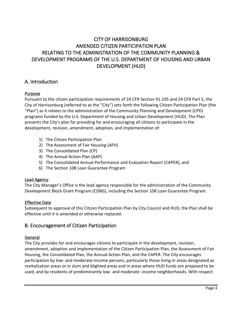# CITY OF HARRISONBURG AMENDED CITIZEN PARTICIPATION PLAN RELATING TO THE ADMINISTRATION OF THE COMMUNITY PLANNING & DEVELOPMENT PROGRAMS OF THE U.S. DEPARTMENT OF HOUSING AND URBAN DEVELOPMENT (HUD)

# A. Introduction

#### Purpose

Pursuant to the citizen participation requirements of 24 CFR Section 91.105 and 24 CFR Part 5, the City of Harrisonburg (referred to as the "City") sets forth the following Citizen Participation Plan (the "Plan") as it relates to the administration of the Community Planning and Development (CPD) programs funded by the U.S. Department of Housing and Urban Development (HUD). The Plan presents the City's plan for providing for and encouraging all citizens to participate in the development, revision, amendment, adoption, and implementation of:

- 1) The Citizen Participation Plan
- 2) The Assessment of Fair Housing (AFH)
- 3) The Consolidated Plan (CP)
- 4) The Annual Action Plan (AAP)
- 5) The Consolidated Annual Performance and Evaluation Report (CAPER), and
- 6) The Section 108 Loan Guarantee Program

#### Lead Agency

The City Manager's Office is the lead agency responsible for the administration of the Community Development Block Grant Program (CDBG), including the Section 108 Loan Guarantee Program.

#### Effective Date

Subsequent to approval of this Citizen Participation Plan by City Council and HUD, the Plan shall be effective until it is amended or otherwise replaced.

# B. Encouragement of Citizen Participation

#### General

The City provides for and encourages citizens to participate in the development, revision, amendment, adoption and implementation of the Citizen Participation Plan, the Assessment of Fair Housing, the Consolidated Plan, the Annual Action Plan, and the CAPER. The City encourages participation by low- and moderate-income persons, particularly those living in areas designated as revitalization areas or in slum and blighted areas and in areas where HUD funds are proposed to be used, and by residents of predominantly low- and moderate- income neighborhoods. With respect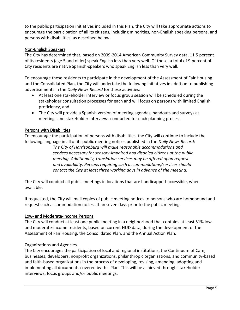to the public participation initiatives included in this Plan, the City will take appropriate actions to encourage the participation of all its citizens, including minorities, non-English speaking persons, and persons with disabilities, as described below.

#### Non-English Speakers

The City has determined that, based on 2009-2014 American Community Survey data, 11.5 percent of its residents (age 5 and older) speak English less than very well. Of these, a total of 9 percent of City residents are native Spanish-speakers who speak English less than very well.

To encourage these residents to participate in the development of the Assessment of Fair Housing and the Consolidated Plan, the City will undertake the following initiatives in addition to publishing advertisements in the *Daily News Record* for these activities:

- At least one stakeholder interview or focus group session will be scheduled during the stakeholder consultation processes for each and will focus on persons with limited English proficiency, and
- The City will provide a Spanish version of meeting agendas, handouts and surveys at meetings and stakeholder interviews conducted for each planning process.

#### Persons with Disabilities

To encourage the participation of persons with disabilities, the City will continue to include the following language in all of its public meeting notices published in the *Daily News Record*:

*The City of Harrisonburg will make reasonable accommodations and services necessary for sensory-impaired and disabled citizens at the public meeting. Additionally, translation services may be offered upon request and availability. Persons requiring such accommodations/services should contact the City at least three working days in advance of the meeting.*

The City will conduct all public meetings in locations that are handicapped-accessible, when available.

If requested, the City will mail copies of public meeting notices to persons who are homebound and request such accommodation no less than seven days prior to the public meeting.

#### Low- and Moderate-Income Persons

The City will conduct at least one public meeting in a neighborhood that contains at least 51% lowand moderate-income residents, based on current HUD data, during the development of the Assessment of Fair Housing, the Consolidated Plan, and the Annual Action Plan.

#### Organizations and Agencies

The City encourages the participation of local and regional institutions, the Continuum of Care, businesses, developers, nonprofit organizations, philanthropic organizations, and community-based and faith-based organizations in the process of developing, revising, amending, adopting and implementing all documents covered by this Plan. This will be achieved through stakeholder interviews, focus groups and/or public meetings.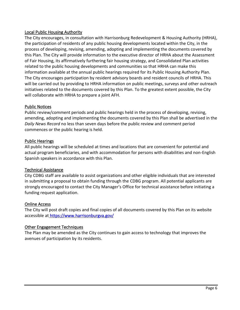#### Local Public Housing Authority

The City encourages, in consultation with Harrisonburg Redevelopment & Housing Authority (HRHA), the participation of residents of any public housing developments located within the City, in the process of developing, revising, amending, adopting and implementing the documents covered by this Plan. The City will provide information to the executive director of HRHA about the Assessment of Fair Housing, its affirmatively furthering fair housing strategy, and Consolidated Plan activities related to the public housing developments and communities so that HRHA can make this information available at the annual public hearings required for its Public Housing Authority Plan. The City encourages participation by resident advisory boards and resident councils of HRHA. This will be carried out by providing to HRHA information on public meetings, surveys and other outreach initiatives related to the documents covered by this Plan. To the greatest extent possible, the City will collaborate with HRHA to prepare a joint AFH.

#### Public Notices

Public review/comment periods and public hearings held in the process of developing, revising, amending, adopting and implementing the documents covered by this Plan shall be advertised in the *Daily News Record* no less than seven days before the public review and comment period commences or the public hearing is held.

#### Public Hearings

All public hearings will be scheduled at times and locations that are convenient for potential and actual program beneficiaries, and with accommodation for persons with disabilities and non-English Spanish speakers in accordance with this Plan.

#### Technical Assistance

City CDBG staff are available to assist organizations and other eligible individuals that are interested in submitting a proposal to obtain funding through the CDBG program. All potential applicants are strongly encouraged to contact the City Manager's Office for technical assistance before initiating a funding request application.

#### Online Access

The City will post draft copies and final copies of all documents covered by this Plan on its website accessible at<https://www.harrisonburgva.gov/>

#### Other Engagement Techniques

The Plan may be amended as the City continues to gain access to technology that improves the avenues of participation by its residents.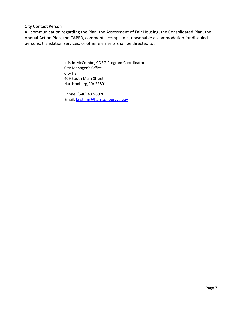#### **City Contact Person**

All communication regarding the Plan, the Assessment of Fair Housing, the Consolidated Plan, the Annual Action Plan, the CAPER, comments, complaints, reasonable accommodation for disabled persons, translation services, or other elements shall be directed to:

> Kristin McCombe, CDBG Program Coordinator City Manager's Office City Hall 409 South Main Street Harrisonburg, VA 22801

Phone: (540) 432-8926 Email[: kristinm@harrisonburgva.gov](mailto:kristinm@harrisonburgva.gov)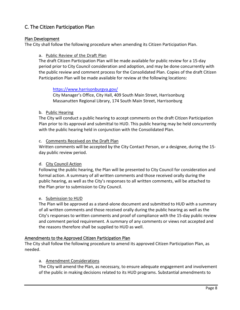# C. The Citizen Participation Plan

#### Plan Development

The City shall follow the following procedure when amending its Citizen Participation Plan.

#### a. Public Review of the Draft Plan

The draft Citizen Participation Plan will be made available for public review for a 15-day period prior to City Council consideration and adoption, and may be done concurrently with the public review and comment process for the Consolidated Plan. Copies of the draft Citizen Participation Plan will be made available for review at the following locations:

#### <https://www.harrisonburgva.gov/>

City Manager's Office, City Hall, 409 South Main Street, Harrisonburg Massanutten Regional Library, 174 South Main Street, Harrisonburg

#### b. Public Hearing

The City will conduct a public hearing to accept comments on the draft Citizen Participation Plan prior to its approval and submittal to HUD. This public hearing may be held concurrently with the public hearing held in conjunction with the Consolidated Plan.

#### c. Comments Received on the Draft Plan

Written comments will be accepted by the City Contact Person, or a designee, during the 15 day public review period.

#### d. City Council Action

Following the public hearing, the Plan will be presented to City Council for consideration and formal action. A summary of all written comments and those received orally during the public hearing, as well as the City's responses to all written comments, will be attached to the Plan prior to submission to City Council.

#### e. Submission to HUD

The Plan will be approved as a stand-alone document and submitted to HUD with a summary of all written comments and those received orally during the public hearing as well as the City's responses to written comments and proof of compliance with the 15-day public review and comment period requirement. A summary of any comments or views not accepted and the reasons therefore shall be supplied to HUD as well.

#### Amendments to the Approved Citizen Participation Plan

The City shall follow the following procedure to amend its approved Citizen Participation Plan, as needed.

#### a. Amendment Considerations

The City will amend the Plan, as necessary, to ensure adequate engagement and involvement of the public in making decisions related to its HUD programs. Substantial amendments to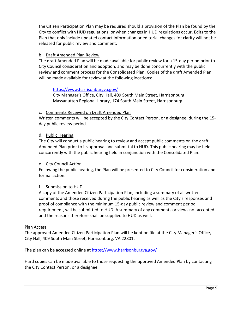the Citizen Participation Plan may be required should a provision of the Plan be found by the City to conflict with HUD regulations, or when changes in HUD regulations occur. Edits to the Plan that only include updated contact information or editorial changes for clarity will not be released for public review and comment.

#### b. Draft Amended Plan Review

The draft Amended Plan will be made available for public review for a 15-day period prior to City Council consideration and adoption, and may be done concurrently with the public review and comment process for the Consolidated Plan. Copies of the draft Amended Plan will be made available for review at the following locations:

#### <https://www.harrisonburgva.gov/>

City Manager's Office, City Hall, 409 South Main Street, Harrisonburg Massanutten Regional Library, 174 South Main Street, Harrisonburg

#### c. Comments Received on Draft Amended Plan

Written comments will be accepted by the City Contact Person, or a designee, during the 15 day public review period.

#### d. Public Hearing

The City will conduct a public hearing to review and accept public comments on the draft Amended Plan prior to its approval and submittal to HUD. This public hearing may be held concurrently with the public hearing held in conjunction with the Consolidated Plan.

#### e. City Council Action

Following the public hearing, the Plan will be presented to City Council for consideration and formal action.

#### f. Submission to HUD

A copy of the Amended Citizen Participation Plan, including a summary of all written comments and those received during the public hearing as well as the City's responses and proof of compliance with the minimum 15-day public review and comment period requirement, will be submitted to HUD. A summary of any comments or views not accepted and the reasons therefore shall be supplied to HUD as well.

#### Plan Access

The approved Amended Citizen Participation Plan will be kept on file at the City Manager's Office, City Hall, 409 South Main Street, Harrisonburg, VA 22801.

The plan can be accessed online at<https://www.harrisonburgva.gov/>

Hard copies can be made available to those requesting the approved Amended Plan by contacting the City Contact Person, or a designee.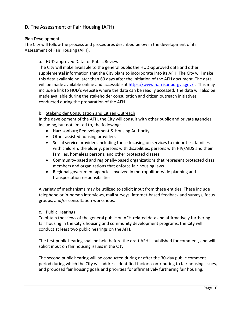# D. The Assessment of Fair Housing (AFH)

#### Plan Development

The City will follow the process and procedures described below in the development of its Assessment of Fair Housing (AFH).

#### a. HUD-approved Data for Public Review

The City will make available to the general public the HUD-approved data and other supplemental information that the City plans to incorporate into its AFH. The City will make this data available no later than 60 days after the initiation of the AFH document. The data will be made available online and accessible at<https://www.harrisonburgva.gov/>. This may include a link to HUD's website where the data can be readily accessed. The data will also be made available during the stakeholder consultation and citizen outreach initiatives conducted during the preparation of the AFH.

#### b. Stakeholder Consultation and Citizen Outreach

In the development of the AFH, the City will consult with other public and private agencies including, but not limited to, the following:

- Harrisonburg Redevelopment & Housing Authority
- Other assisted housing providers
- Social service providers including those focusing on services to minorities, families with children, the elderly, persons with disabilities, persons with HIV/AIDS and their families, homeless persons, and other protected classes
- Community-based and regionally-based organizations that represent protected class members and organizations that enforce fair housing laws
- Regional government agencies involved in metropolitan-wide planning and transportation responsibilities

A variety of mechanisms may be utilized to solicit input from these entities. These include telephone or in-person interviews, mail surveys, internet-based feedback and surveys, focus groups, and/or consultation workshops.

#### c. Public Hearings

To obtain the views of the general public on AFH-related data and affirmatively furthering fair housing in the City's housing and community development programs, the City will conduct at least two public hearings on the AFH.

The first public hearing shall be held before the draft AFH is published for comment, and will solicit input on fair housing issues in the City.

The second public hearing will be conducted during or after the 30-day public comment period during which the City will address identified factors contributing to fair housing issues, and proposed fair housing goals and priorities for affirmatively furthering fair housing.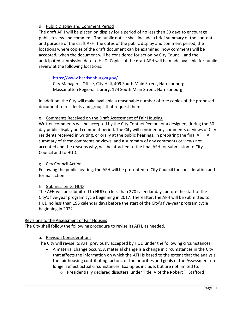#### d. Public Display and Comment Period

The draft AFH will be placed on display for a period of no less than 30 days to encourage public review and comment. The public notice shall include a brief summary of the content and purpose of the draft AFH, the dates of the public display and comment period, the locations where copies of the draft document can be examined, how comments will be accepted, when the document will be considered for action by City Council, and the anticipated submission date to HUD. Copies of the draft AFH will be made available for public review at the following locations:

#### <https://www.harrisonburgva.gov/>

City Manager's Office, City Hall, 409 South Main Street, Harrisonburg Massanutten Regional Library, 174 South Main Street, Harrisonburg

In addition, the City will make available a reasonable number of free copies of the proposed document to residents and groups that request them.

#### e. Comments Received on the Draft Assessment of Fair Housing

Written comments will be accepted by the City Contact Person, or a designee, during the 30 day public display and comment period. The City will consider any comments or views of City residents received in writing, or orally at the public hearings, in preparing the final AFH. A summary of these comments or views, and a summary of any comments or views not accepted and the reasons why, will be attached to the final AFH for submission to City Council and to HUD.

#### g. City Council Action

Following the public hearing, the AFH will be presented to City Council for consideration and formal action.

#### h. Submission to HUD

The AFH will be submitted to HUD no less than 270 calendar days before the start of the City's five-year program cycle beginning in 2017. Thereafter, the AFH will be submitted to HUD no less than 195 calendar days before the start of the City's five-year program cycle beginning in 2022.

#### Revisions to the Assessment of Fair Housing

The City shall follow the following procedure to revise its AFH, as needed.

#### a. Revision Considerations

The City will revise its AFH previously accepted by HUD under the following circumstances:

- A material change occurs. A material change is a change in circumstances in the City that affects the information on which the AFH is based to the extent that the analysis, the fair housing contributing factors, or the priorities and goals of the Assessment no longer reflect actual circumstances. Examples include, but are not limited to:
	- o Presidentially declared disasters, under Title IV of the Robert T. Stafford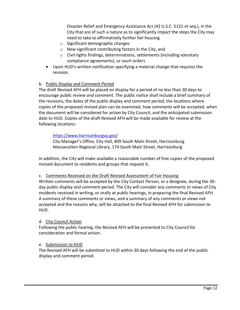Disaster Relief and Emergency Assistance Act (42 U.S.C. 5121 *et seq.*), in the City that are of such a nature as to significantly impact the steps the City may need to take to affirmatively further fair housing

- o Significant demographic changes
- o New significant contributing factors in the City, and
- o Civil rights findings, determinations, settlements (including voluntary compliance agreements), or court orders
- Upon HUD's written notification specifying a material change that requires the revision.

#### b. Public Display and Comment Period

The draft Revised AFH will be placed on display for a period of no less than 30 days to encourage public review and comment. The public notice shall include a brief summary of the revisions, the dates of the public display and comment period, the locations where copies of the proposed revised plan can be examined, how comments will be accepted, when the document will be considered for action by City Council, and the anticipated submission date to HUD. Copies of the draft Revised AFH will be made available for review at the following locations:

#### <https://www.harrisonburgva.gov/>

City Manager's Office, City Hall, 409 South Main Street, Harrisonburg Massanutten Regional Library, 174 South Main Street, Harrisonburg

In addition, the City will make available a reasonable number of free copies of the proposed revised document to residents and groups that request it.

#### c. Comments Received on the Draft Revised Assessment of Fair Housing

Written comments will be accepted by the City Contact Person, or a designee, during the 30 day public display and comment period. The City will consider any comments or views of City residents received in writing, or orally at public hearings, in preparing the final Revised AFH. A summary of these comments or views, and a summary of any comments or views not accepted and the reasons why, will be attached to the final Revised AFH for submission to HUD.

#### d. City Council Action

Following the public hearing, the Revised AFH will be presented to City Council for consideration and formal action.

#### e. Submission to HUD

The Revised AFH will be submitted to HUD within 30 days following the end of the public display and comment period.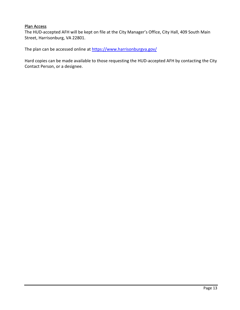### Plan Access

The HUD-accepted AFH will be kept on file at the City Manager's Office, City Hall, 409 South Main Street, Harrisonburg, VA 22801.

The plan can be accessed online at https://www.harrisonburgva.gov/

Hard copies can be made available to those requesting the HUD-accepted AFH by contacting the City Contact Person, or a designee.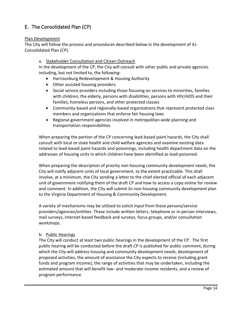# E. The Consolidated Plan (CP)

#### Plan Development

The City will follow the process and procedures described below in the development of its Consolidated Plan (CP).

#### a. Stakeholder Consultation and Citizen Outreach

In the development of the CP, the City will consult with other public and private agencies including, but not limited to, the following:

- Harrisonburg Redevelopment & Housing Authority
- Other assisted housing providers
- Social service providers including those focusing on services to minorities, families with children, the elderly, persons with disabilities, persons with HIV/AIDS and their families, homeless persons, and other protected classes
- Community-based and regionally-based organizations that represent protected class members and organizations that enforce fair housing laws
- Regional government agencies involved in metropolitan-wide planning and transportation responsibilities

When preparing the portion of the CP concerning lead-based paint hazards, the City shall consult with local or state health and child welfare agencies and examine existing data related to lead-based paint hazards and poisonings, including health department data on the addresses of housing units in which children have been identified as lead-poisoned.

When preparing the description of priority non-housing community development needs, the City will notify adjacent units of local government, to the extent practicable. This shall involve, at a minimum, the City sending a letter to the chief elected official of each adjacent unit of government notifying them of the draft CP and how to access a copy online for review and comment. In addition, the City will submit its non-housing community development plan to the Virginia Department of Housing & Community Development.

A variety of mechanisms may be utilized to solicit input from these persons/service providers/agencies/entities. These include written letters, telephone or in-person interviews, mail surveys, internet-based feedback and surveys, focus groups, and/or consultation workshops.

#### b. Public Hearings

The City will conduct at least two public hearings in the development of the CP. The first public hearing will be conducted before the draft CP is published for public comment, during which the City will address housing and community development needs, development of proposed activities, the amount of assistance the City expects to receive (including grant funds and program income), the range of activities that may be undertaken, including the estimated amount that will benefit low- and moderate-income residents, and a review of program performance.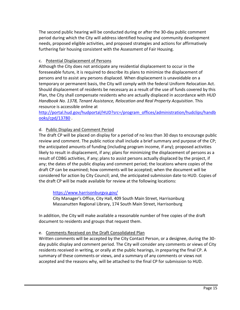The second public hearing will be conducted during or after the 30-day public comment period during which the City will address identified housing and community development needs, proposed eligible activities, and proposed strategies and actions for affirmatively furthering fair housing consistent with the Assessment of Fair Housing.

#### c. Potential Displacement of Persons

Although the City does not anticipate any residential displacement to occur in the foreseeable future, it is required to describe its plans to minimize the displacement of persons and to assist any persons displaced. When displacement is unavoidable on a temporary or permanent basis, the City will comply with the federal Uniform Relocation Act. Should displacement of residents be necessary as a result of the use of funds covered by this Plan, the City shall compensate residents who are actually displaced in accordance with *HUD Handbook No. 1378, Tenant Assistance, Relocation and Real Property Acquisition*. This resource is accessible online at

[http://portal.hud.gov/hudportal/HUD?src=/program\\_offices/administration/hudclips/handb](http://portal.hud.gov/hudportal/HUD?src=/program_offices/administration/hudclips/handbooks/cpd/13780) [ooks/cpd/13780](http://portal.hud.gov/hudportal/HUD?src=/program_offices/administration/hudclips/handbooks/cpd/13780) .

#### d. Public Display and Comment Period

The draft CP will be placed on display for a period of no less than 30 days to encourage public review and comment. The public notice shall include a brief summary and purpose of the CP; the anticipated amounts of funding (including program income, if any); proposed activities likely to result in displacement, if any; plans for minimizing the displacement of persons as a result of CDBG activities, if any; plans to assist persons actually displaced by the project, if any; the dates of the public display and comment period; the locations where copies of the draft CP can be examined; how comments will be accepted; when the document will be considered for action by City Council; and, the anticipated submission date to HUD. Copies of the draft CP will be made available for review at the following locations:

#### <https://www.harrisonburgva.gov/>

City Manager's Office, City Hall, 409 South Main Street, Harrisonburg Massanutten Regional Library, 174 South Main Street, Harrisonburg

In addition, the City will make available a reasonable number of free copies of the draft document to residents and groups that request them.

#### e. Comments Received on the Draft Consolidated Plan

Written comments will be accepted by the City Contact Person, or a designee, during the 30 day public display and comment period. The City will consider any comments or views of City residents received in writing, or orally at the public hearings, in preparing the final CP. A summary of these comments or views, and a summary of any comments or views not accepted and the reasons why, will be attached to the final CP for submission to HUD.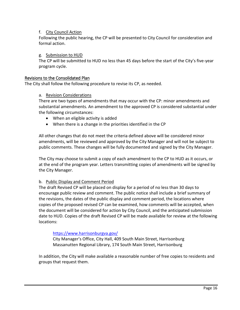#### f. City Council Action

Following the public hearing, the CP will be presented to City Council for consideration and formal action.

#### g. Submission to HUD

The CP will be submitted to HUD no less than 45 days before the start of the City's five-year program cycle.

#### Revisions to the Consolidated Plan

The City shall follow the following procedure to revise its CP, as needed.

#### a. Revision Considerations

There are two types of amendments that may occur with the CP: minor amendments and substantial amendments. An amendment to the approved CP is considered substantial under the following circumstances:

- When an eligible activity is added
- When there is a change in the priorities identified in the CP

All other changes that do not meet the criteria defined above will be considered minor amendments, will be reviewed and approved by the City Manager and will not be subject to public comments. These changes will be fully documented and signed by the City Manager.

The City may choose to submit a copy of each amendment to the CP to HUD as it occurs, or at the end of the program year. Letters transmitting copies of amendments will be signed by the City Manager.

#### b. Public Display and Comment Period

The draft Revised CP will be placed on display for a period of no less than 30 days to encourage public review and comment. The public notice shall include a brief summary of the revisions, the dates of the public display and comment period, the locations where copies of the proposed revised CP can be examined, how comments will be accepted, when the document will be considered for action by City Council, and the anticipated submission date to HUD. Copies of the draft Revised CP will be made available for review at the following locations:

#### <https://www.harrisonburgva.gov/>

City Manager's Office, City Hall, 409 South Main Street, Harrisonburg Massanutten Regional Library, 174 South Main Street, Harrisonburg

In addition, the City will make available a reasonable number of free copies to residents and groups that request them.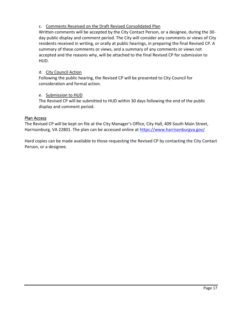#### c. Comments Received on the Draft Revised Consolidated Plan

Written comments will be accepted by the City Contact Person, or a designee, during the 30 day public display and comment period. The City will consider any comments or views of City residents received in writing, or orally at public hearings, in preparing the final Revised CP. A summary of these comments or views, and a summary of any comments or views not accepted and the reasons why, will be attached to the final Revised CP for submission to HUD.

#### d. City Council Action

Following the public hearing, the Revised CP will be presented to City Council for consideration and formal action.

#### e. Submission to HUD

The Revised CP will be submitted to HUD within 30 days following the end of the public display and comment period.

#### Plan Access

The Revised CP will be kept on file at the City Manager's Office, City Hall, 409 South Main Street, Harrisonburg, VA 22801. The plan can be accessed online at<https://www.harrisonburgva.gov/>

Hard copies can be made available to those requesting the Revised CP by contacting the City Contact Person, or a designee.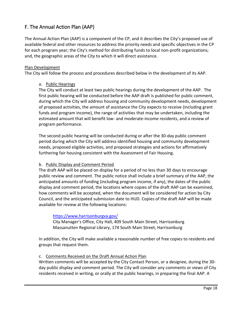# F. The Annual Action Plan (AAP)

The Annual Action Plan (AAP) is a component of the CP, and it describes the City's proposed use of available federal and other resources to address the priority needs and specific objectives in the CP for each program year; the City's method for distributing funds to local non-profit organizations; and, the geographic areas of the City to which it will direct assistance.

#### Plan Development

The City will follow the process and procedures described below in the development of its AAP.

#### a. Public Hearings

The City will conduct at least two public hearings during the development of the AAP. The first public hearing will be conducted before the AAP draft is published for public comment, during which the City will address housing and community development needs, development of proposed activities, the amount of assistance the City expects to receive (including grant funds and program income), the range of activities that may be undertaken, including the estimated amount that will benefit low- and moderate-income residents, and a review of program performance.

The second public hearing will be conducted during or after the 30-day public comment period during which the City will address identified housing and community development needs, proposed eligible activities, and proposed strategies and actions for affirmatively furthering fair housing consistent with the Assessment of Fair Housing.

#### b. Public Display and Comment Period

The draft AAP will be placed on display for a period of no less than 30 days to encourage public review and comment. The public notice shall include a brief summary of the AAP, the anticipated amounts of funding (including program income, if any), the dates of the public display and comment period, the locations where copies of the draft AAP can be examined, how comments will be accepted, when the document will be considered for action by City Council, and the anticipated submission date to HUD. Copies of the draft AAP will be made available for review at the following locations:

#### <https://www.harrisonburgva.gov/>

City Manager's Office, City Hall, 409 South Main Street, Harrisonburg Massanutten Regional Library, 174 South Main Street, Harrisonburg

In addition, the City will make available a reasonable number of free copies to residents and groups that request them.

#### c. Comments Received on the Draft Annual Action Plan

Written comments will be accepted by the City Contact Person, or a designee, during the 30 day public display and comment period. The City will consider any comments or views of City residents received in writing, or orally at the public hearings, in preparing the final AAP. A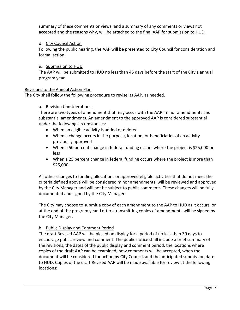summary of these comments or views, and a summary of any comments or views not accepted and the reasons why, will be attached to the final AAP for submission to HUD.

#### d. City Council Action

Following the public hearing, the AAP will be presented to City Council for consideration and formal action.

#### e. Submission to HUD

The AAP will be submitted to HUD no less than 45 days before the start of the City's annual program year.

#### Revisions to the Annual Action Plan

The City shall follow the following procedure to revise its AAP, as needed.

#### a. Revision Considerations

There are two types of amendment that may occur with the AAP: minor amendments and substantial amendments. An amendment to the approved AAP is considered substantial under the following circumstances:

- When an eligible activity is added or deleted
- When a change occurs in the purpose, location, or beneficiaries of an activity previously approved
- When a 50 percent change in federal funding occurs where the project is \$25,000 or less
- When a 25 percent change in federal funding occurs where the project is more than \$25,000.

All other changes to funding allocations or approved eligible activities that do not meet the criteria defined above will be considered minor amendments, will be reviewed and approved by the City Manager and will not be subject to public comments. These changes will be fully documented and signed by the City Manager.

The City may choose to submit a copy of each amendment to the AAP to HUD as it occurs, or at the end of the program year. Letters transmitting copies of amendments will be signed by the City Manager.

#### b. Public Display and Comment Period

The draft Revised AAP will be placed on display for a period of no less than 30 days to encourage public review and comment. The public notice shall include a brief summary of the revisions, the dates of the public display and comment period, the locations where copies of the draft AAP can be examined, how comments will be accepted, when the document will be considered for action by City Council, and the anticipated submission date to HUD. Copies of the draft Revised AAP will be made available for review at the following locations: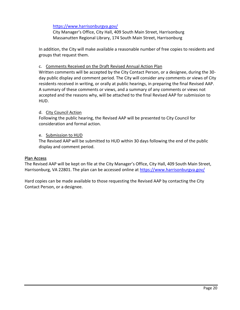#### <https://www.harrisonburgva.gov/>

City Manager's Office, City Hall, 409 South Main Street, Harrisonburg Massanutten Regional Library, 174 South Main Street, Harrisonburg

In addition, the City will make available a reasonable number of free copies to residents and groups that request them.

#### c. Comments Received on the Draft Revised Annual Action Plan

Written comments will be accepted by the City Contact Person, or a designee, during the 30 day public display and comment period. The City will consider any comments or views of City residents received in writing, or orally at public hearings, in preparing the final Revised AAP. A summary of these comments or views, and a summary of any comments or views not accepted and the reasons why, will be attached to the final Revised AAP for submission to HUD.

#### d. City Council Action

Following the public hearing, the Revised AAP will be presented to City Council for consideration and formal action.

#### e. Submission to HUD

The Revised AAP will be submitted to HUD within 30 days following the end of the public display and comment period.

#### Plan Access

The Revised AAP will be kept on file at the City Manager's Office, City Hall, 409 South Main Street, Harrisonburg, VA 22801. The plan can be accessed online at<https://www.harrisonburgva.gov/>

Hard copies can be made available to those requesting the Revised AAP by contacting the City Contact Person, or a designee.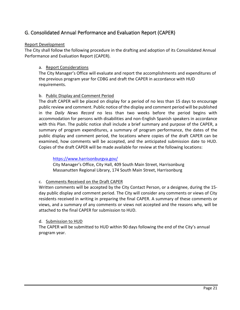# G. Consolidated Annual Performance and Evaluation Report (CAPER)

#### Report Development

The City shall follow the following procedure in the drafting and adoption of its Consolidated Annual Performance and Evaluation Report (CAPER).

#### a. Report Considerations

The City Manager's Office will evaluate and report the accomplishments and expenditures of the previous program year for CDBG and draft the CAPER in accordance with HUD requirements.

#### b. Public Display and Comment Period

The draft CAPER will be placed on display for a period of no less than 15 days to encourage public review and comment. Public notice of the display and comment period will be published in the *Daily News Record* no less than two weeks before the period begins with accommodation for persons with disabilities and non-English Spanish speakers in accordance with this Plan. The public notice shall include a brief summary and purpose of the CAPER, a summary of program expenditures, a summary of program performance, the dates of the public display and comment period, the locations where copies of the draft CAPER can be examined, how comments will be accepted, and the anticipated submission date to HUD. Copies of the draft CAPER will be made available for review at the following locations:

<https://www.harrisonburgva.gov/>

City Manager's Office, City Hall, 409 South Main Street, Harrisonburg Massanutten Regional Library, 174 South Main Street, Harrisonburg

#### c. Comments Received on the Draft CAPER

Written comments will be accepted by the City Contact Person, or a designee, during the 15 day public display and comment period. The City will consider any comments or views of City residents received in writing in preparing the final CAPER. A summary of these comments or views, and a summary of any comments or views not accepted and the reasons why, will be attached to the final CAPER for submission to HUD.

#### d. Submission to HUD

The CAPER will be submitted to HUD within 90 days following the end of the City's annual program year.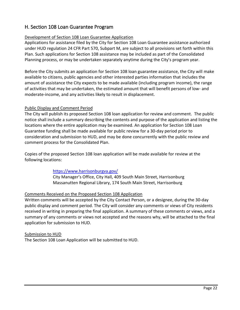# H. Section 108 Loan Guarantee Program

#### Development of Section 108 Loan Guarantee Application

Applications for assistance filed by the City for Section 108 Loan Guarantee assistance authorized under HUD regulation 24 CFR Part 570, Subpart M, are subject to all provisions set forth within this Plan. Such applications for Section 108 assistance may be included as part of the Consolidated Planning process, or may be undertaken separately anytime during the City's program year.

Before the City submits an application for Section 108 loan guarantee assistance, the City will make available to citizens, public agencies and other interested parties information that includes the amount of assistance the City expects to be made available (including program income), the range of activities that may be undertaken, the estimated amount that will benefit persons of low- and moderate-income, and any activities likely to result in displacement.

#### Public Display and Comment Period

The City will publish its proposed Section 108 loan application for review and comment. The public notice shall include a summary describing the contents and purpose of the application and listing the locations where the entire application may be examined. An application for Section 108 Loan Guarantee funding shall be made available for public review for a 30-day period prior to consideration and submission to HUD, and may be done concurrently with the public review and comment process for the Consolidated Plan.

Copies of the proposed Section 108 loan application will be made available for review at the following locations:

#### <https://www.harrisonburgva.gov/>

City Manager's Office, City Hall, 409 South Main Street, Harrisonburg Massanutten Regional Library, 174 South Main Street, Harrisonburg

#### Comments Received on the Proposed Section 108 Application

Written comments will be accepted by the City Contact Person, or a designee, during the 30-day public display and comment period. The City will consider any comments or views of City residents received in writing in preparing the final application. A summary of these comments or views, and a summary of any comments or views not accepted and the reasons why, will be attached to the final application for submission to HUD.

#### Submission to HUD The Section 108 Loan Application will be submitted to HUD.